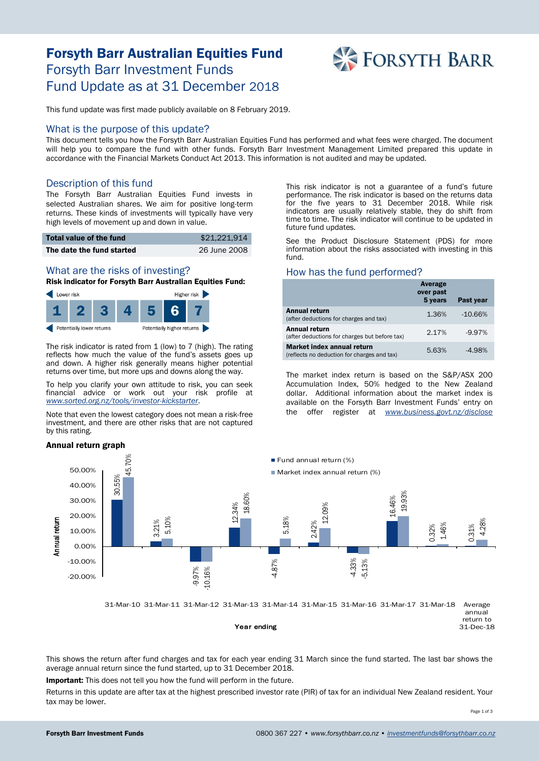# Forsyth Barr Australian Equities Fund Forsyth Barr Investment Funds Fund Update as at 31 December 2018



This fund update was first made publicly available on 8 February 2019.

#### What is the purpose of this update?

This document tells you how the Forsyth Barr Australian Equities Fund has performed and what fees were charged. The document will help you to compare the fund with other funds. Forsyth Barr Investment Management Limited prepared this update in accordance with the Financial Markets Conduct Act 2013. This information is not audited and may be updated.

## Description of this fund

The Forsyth Barr Australian Equities Fund invests in selected Australian shares. We aim for positive long-term returns. These kinds of investments will typically have very high levels of movement up and down in value.

| Total value of the fund   | \$21.221.914 |
|---------------------------|--------------|
| The date the fund started | 26 June 2008 |

## What are the risks of investing?

Risk indicator for Forsyth Barr Australian Equities Fund:



The risk indicator is rated from 1 (low) to 7 (high). The rating reflects how much the value of the fund's assets goes up and down. A higher risk generally means higher potential returns over time, but more ups and downs along the way.

To help you clarify your own attitude to risk, you can seek financial advice or work out your risk profile at *[www.sorted.org.nz/tools/investor-kickstarter](http://www.sorted.org.nz/tools/investor-kickstarter)*.

Note that even the lowest category does not mean a risk-free investment, and there are other risks that are not captured by this rating.

#### Annual return graph

This risk indicator is not a guarantee of a fund's future performance. The risk indicator is based on the returns data for the five years to 31 December 2018. While risk indicators are usually relatively stable, they do shift from time to time. The risk indicator will continue to be updated in future fund updates.

See the Product Disclosure Statement (PDS) for more information about the risks associated with investing in this fund.

## How has the fund performed?

|                                                                           | Average<br>over past<br>5 years | Past year |
|---------------------------------------------------------------------------|---------------------------------|-----------|
| <b>Annual return</b><br>(after deductions for charges and tax)            | 1.36%                           | $-10.66%$ |
| Annual return<br>(after deductions for charges but before tax)            | 2.17%                           | $-9.97%$  |
| Market index annual return<br>(reflects no deduction for charges and tax) | 5.63%                           | $-4.98%$  |

The market index return is based on the S&P/ASX 200 Accumulation Index, 50% hedged to the New Zealand dollar. Additional information about the market index is available on the Forsyth Barr Investment Funds' entry on the offer register at *[www.business.govt.nz/disclose](http://www.business.govt.nz/disclose)*



This shows the return after fund charges and tax for each year ending 31 March since the fund started. The last bar shows the average annual return since the fund started, up to 31 December 2018.

Important: This does not tell you how the fund will perform in the future.

Returns in this update are after tax at the highest prescribed investor rate (PIR) of tax for an individual New Zealand resident. Your tax may be lower.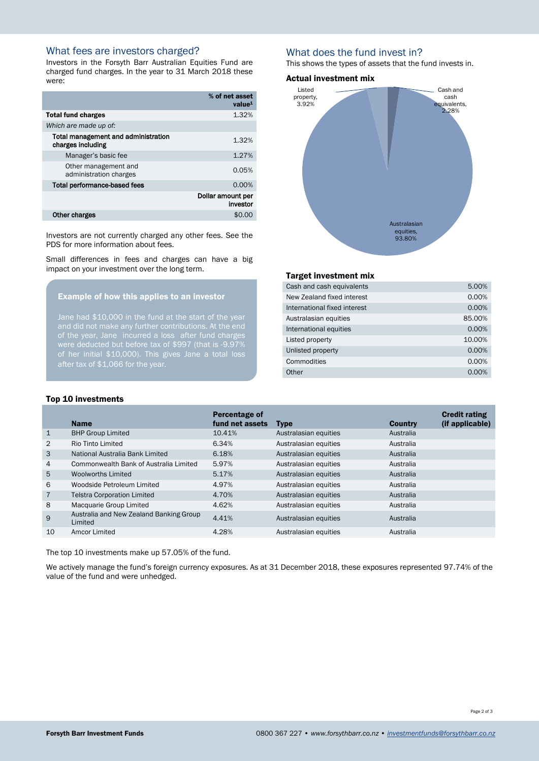## What fees are investors charged?

Investors in the Forsyth Barr Australian Equities Fund are charged fund charges. In the year to 31 March 2018 these were:

|                                                          | % of net asset<br>value <sup>1</sup> |
|----------------------------------------------------------|--------------------------------------|
| <b>Total fund charges</b>                                | 1.32%                                |
| Which are made up of:                                    |                                      |
| Total management and administration<br>charges including | 1.32%                                |
| Manager's basic fee                                      | 1.27%                                |
| Other management and<br>administration charges           | 0.05%                                |
| <b>Total performance-based fees</b>                      | 0.00%                                |
|                                                          | Dollar amount per<br>investor        |
| Other charges                                            | \$0.0                                |

Investors are not currently charged any other fees. See the PDS for more information about fees.

Small differences in fees and charges can have a big impact on your investment over the long term.

## Example of how this applies to an investor

Jane had \$10,000 in the fund at the start of the year of the year, Jane incurred a loss after fund charges of her initial \$10,000). This gives Jane a total loss after tax of \$1,066 for the year.

## What does the fund invest in?

This shows the types of assets that the fund invests in.

#### Actual investment mix



#### Target investment mix

| Cash and cash equivalents    | 5.00%  |
|------------------------------|--------|
| New Zealand fixed interest   | 0.00%  |
| International fixed interest | 0.00%  |
| Australasian equities        | 85.00% |
| International equities       | 0.00%  |
| Listed property              | 10.00% |
| Unlisted property            | 0.00%  |
| Commodities                  | 0.00%  |
| Other                        | 0.00%  |

#### Top 10 investments

|                | <b>Name</b>                                        | Percentage of<br>fund net assets | <b>Type</b>           | <b>Country</b> | <b>Credit rating</b><br>(if applicable) |
|----------------|----------------------------------------------------|----------------------------------|-----------------------|----------------|-----------------------------------------|
| $\mathbf{1}$   | <b>BHP Group Limited</b>                           | 10.41%                           | Australasian equities | Australia      |                                         |
| 2              | Rio Tinto Limited                                  | 6.34%                            | Australasian equities | Australia      |                                         |
| 3              | National Australia Bank Limited                    | 6.18%                            | Australasian equities | Australia      |                                         |
| $\overline{4}$ | Commonwealth Bank of Australia Limited             | 5.97%                            | Australasian equities | Australia      |                                         |
| 5              | <b>Woolworths Limited</b>                          | 5.17%                            | Australasian equities | Australia      |                                         |
| 6              | Woodside Petroleum Limited                         | 4.97%                            | Australasian equities | Australia      |                                         |
| $\overline{7}$ | <b>Telstra Corporation Limited</b>                 | 4.70%                            | Australasian equities | Australia      |                                         |
| 8              | Macquarie Group Limited                            | 4.62%                            | Australasian equities | Australia      |                                         |
| 9              | Australia and New Zealand Banking Group<br>Limited | 4.41%                            | Australasian equities | Australia      |                                         |
| 10             | Amcor Limited                                      | 4.28%                            | Australasian equities | Australia      |                                         |

The top 10 investments make up 57.05% of the fund.

We actively manage the fund's foreign currency exposures. As at 31 December 2018, these exposures represented 97.74% of the value of the fund and were unhedged.